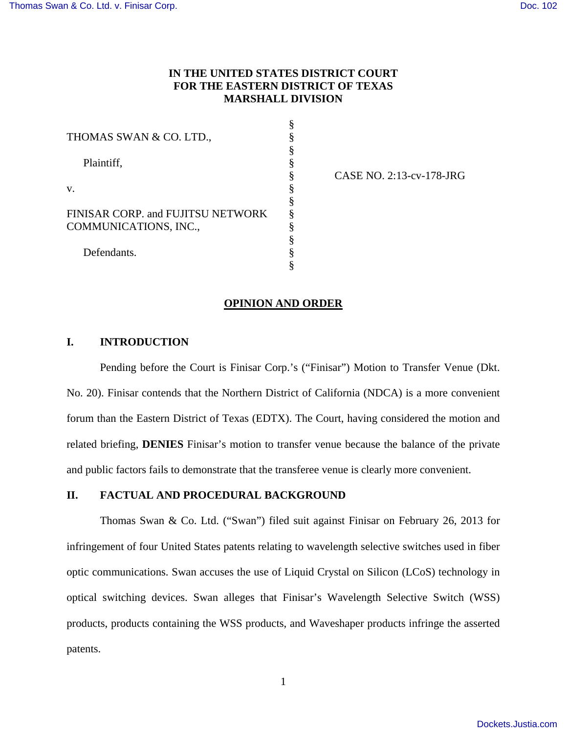# **IN THE UNITED STATES DISTRICT COURT FOR THE EASTERN DISTRICT OF TEXAS MARSHALL DIVISION**

§ § § § § § § § § § § §

| THOMAS SWAN & CO. LTD.,                                    |
|------------------------------------------------------------|
| Plaintiff,                                                 |
| V.                                                         |
| FINISAR CORP. and FUJITSU NETWORK<br>COMMUNICATIONS, INC., |
| Defendants                                                 |

CASE NO. 2:13-cv-178-JRG

#### **OPINION AND ORDER**

# **I. INTRODUCTION**

Pending before the Court is Finisar Corp.'s ("Finisar") Motion to Transfer Venue (Dkt. No. 20). Finisar contends that the Northern District of California (NDCA) is a more convenient forum than the Eastern District of Texas (EDTX). The Court, having considered the motion and related briefing, **DENIES** Finisar's motion to transfer venue because the balance of the private and public factors fails to demonstrate that the transferee venue is clearly more convenient.

# **II. FACTUAL AND PROCEDURAL BACKGROUND**

 Thomas Swan & Co. Ltd. ("Swan") filed suit against Finisar on February 26, 2013 for infringement of four United States patents relating to wavelength selective switches used in fiber optic communications. Swan accuses the use of Liquid Crystal on Silicon (LCoS) technology in optical switching devices. Swan alleges that Finisar's Wavelength Selective Switch (WSS) products, products containing the WSS products, and Waveshaper products infringe the asserted patents.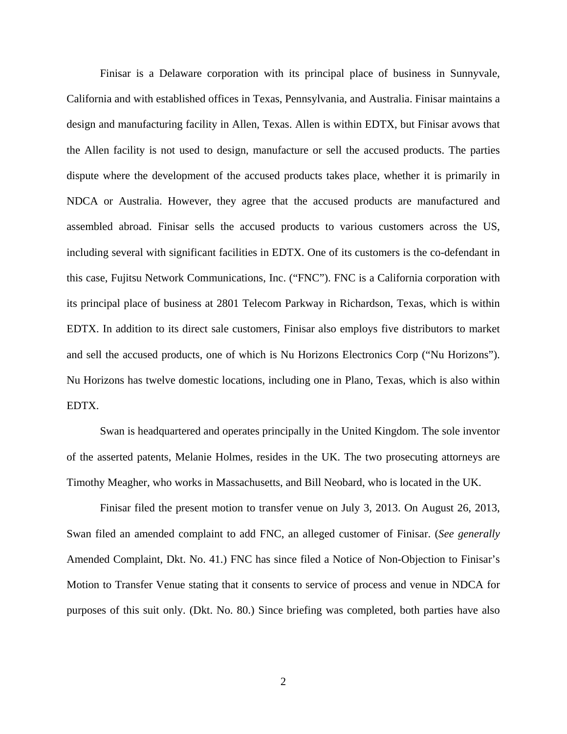Finisar is a Delaware corporation with its principal place of business in Sunnyvale, California and with established offices in Texas, Pennsylvania, and Australia. Finisar maintains a design and manufacturing facility in Allen, Texas. Allen is within EDTX, but Finisar avows that the Allen facility is not used to design, manufacture or sell the accused products. The parties dispute where the development of the accused products takes place, whether it is primarily in NDCA or Australia. However, they agree that the accused products are manufactured and assembled abroad. Finisar sells the accused products to various customers across the US, including several with significant facilities in EDTX. One of its customers is the co-defendant in this case, Fujitsu Network Communications, Inc. ("FNC"). FNC is a California corporation with its principal place of business at 2801 Telecom Parkway in Richardson, Texas, which is within EDTX. In addition to its direct sale customers, Finisar also employs five distributors to market and sell the accused products, one of which is Nu Horizons Electronics Corp ("Nu Horizons"). Nu Horizons has twelve domestic locations, including one in Plano, Texas, which is also within EDTX.

 Swan is headquartered and operates principally in the United Kingdom. The sole inventor of the asserted patents, Melanie Holmes, resides in the UK. The two prosecuting attorneys are Timothy Meagher, who works in Massachusetts, and Bill Neobard, who is located in the UK.

 Finisar filed the present motion to transfer venue on July 3, 2013. On August 26, 2013, Swan filed an amended complaint to add FNC, an alleged customer of Finisar. (*See generally* Amended Complaint, Dkt. No. 41.) FNC has since filed a Notice of Non-Objection to Finisar's Motion to Transfer Venue stating that it consents to service of process and venue in NDCA for purposes of this suit only. (Dkt. No. 80.) Since briefing was completed, both parties have also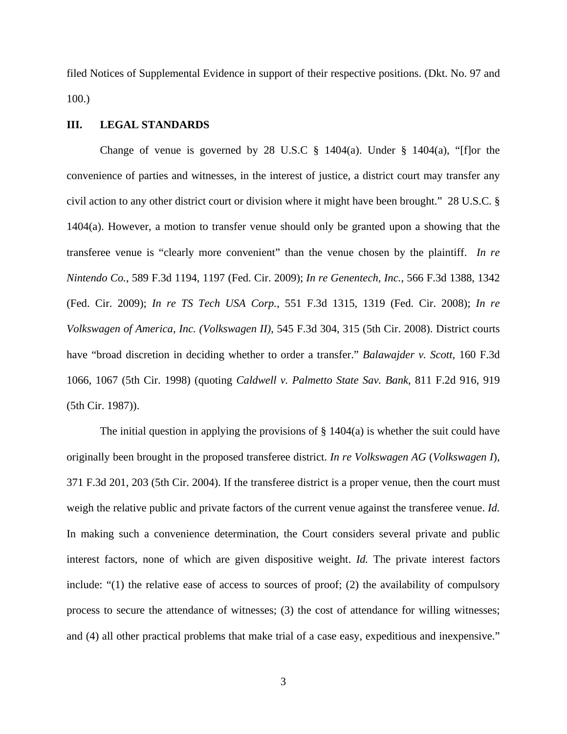filed Notices of Supplemental Evidence in support of their respective positions. (Dkt. No. 97 and 100.)

## **III. LEGAL STANDARDS**

Change of venue is governed by 28 U.S.C  $\S$  1404(a). Under  $\S$  1404(a), "[f]or the convenience of parties and witnesses, in the interest of justice, a district court may transfer any civil action to any other district court or division where it might have been brought." 28 U.S.C. § 1404(a). However, a motion to transfer venue should only be granted upon a showing that the transferee venue is "clearly more convenient" than the venue chosen by the plaintiff. *In re Nintendo Co.*, 589 F.3d 1194, 1197 (Fed. Cir. 2009); *In re Genentech, Inc.*, 566 F.3d 1388, 1342 (Fed. Cir. 2009); *In re TS Tech USA Corp.*, 551 F.3d 1315, 1319 (Fed. Cir. 2008); *In re Volkswagen of America, Inc. (Volkswagen II)*, 545 F.3d 304, 315 (5th Cir. 2008). District courts have "broad discretion in deciding whether to order a transfer." *Balawajder v. Scott*, 160 F.3d 1066, 1067 (5th Cir. 1998) (quoting *Caldwell v. Palmetto State Sav. Bank*, 811 F.2d 916, 919 (5th Cir. 1987)).

The initial question in applying the provisions of  $\S$  1404(a) is whether the suit could have originally been brought in the proposed transferee district. *In re Volkswagen AG* (*Volkswagen I*), 371 F.3d 201, 203 (5th Cir. 2004). If the transferee district is a proper venue, then the court must weigh the relative public and private factors of the current venue against the transferee venue. *Id.* In making such a convenience determination, the Court considers several private and public interest factors, none of which are given dispositive weight. *Id.* The private interest factors include: "(1) the relative ease of access to sources of proof; (2) the availability of compulsory process to secure the attendance of witnesses; (3) the cost of attendance for willing witnesses; and (4) all other practical problems that make trial of a case easy, expeditious and inexpensive."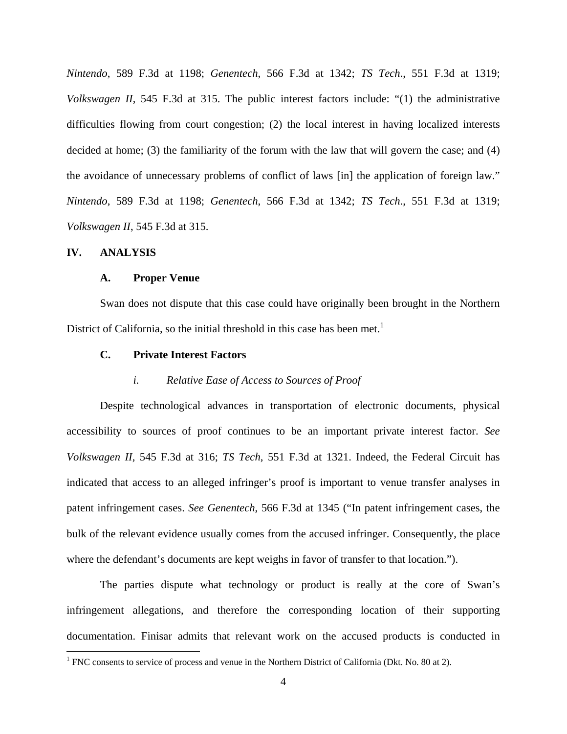*Nintendo*, 589 F.3d at 1198; *Genentech*, 566 F.3d at 1342; *TS Tech*., 551 F.3d at 1319; *Volkswagen II*, 545 F.3d at 315. The public interest factors include: "(1) the administrative difficulties flowing from court congestion; (2) the local interest in having localized interests decided at home; (3) the familiarity of the forum with the law that will govern the case; and (4) the avoidance of unnecessary problems of conflict of laws [in] the application of foreign law." *Nintendo*, 589 F.3d at 1198; *Genentech*, 566 F.3d at 1342; *TS Tech*., 551 F.3d at 1319; *Volkswagen II*, 545 F.3d at 315.

### **IV. ANALYSIS**

 $\overline{a}$ 

#### **A. Proper Venue**

 Swan does not dispute that this case could have originally been brought in the Northern District of California, so the initial threshold in this case has been met.<sup>1</sup>

#### **C. Private Interest Factors**

#### *i. Relative Ease of Access to Sources of Proof*

 Despite technological advances in transportation of electronic documents, physical accessibility to sources of proof continues to be an important private interest factor. *See Volkswagen II*, 545 F.3d at 316; *TS Tech*, 551 F.3d at 1321. Indeed, the Federal Circuit has indicated that access to an alleged infringer's proof is important to venue transfer analyses in patent infringement cases. *See Genentech*, 566 F.3d at 1345 ("In patent infringement cases, the bulk of the relevant evidence usually comes from the accused infringer. Consequently, the place where the defendant's documents are kept weighs in favor of transfer to that location.").

 The parties dispute what technology or product is really at the core of Swan's infringement allegations, and therefore the corresponding location of their supporting documentation. Finisar admits that relevant work on the accused products is conducted in

<sup>&</sup>lt;sup>1</sup> FNC consents to service of process and venue in the Northern District of California (Dkt. No. 80 at 2).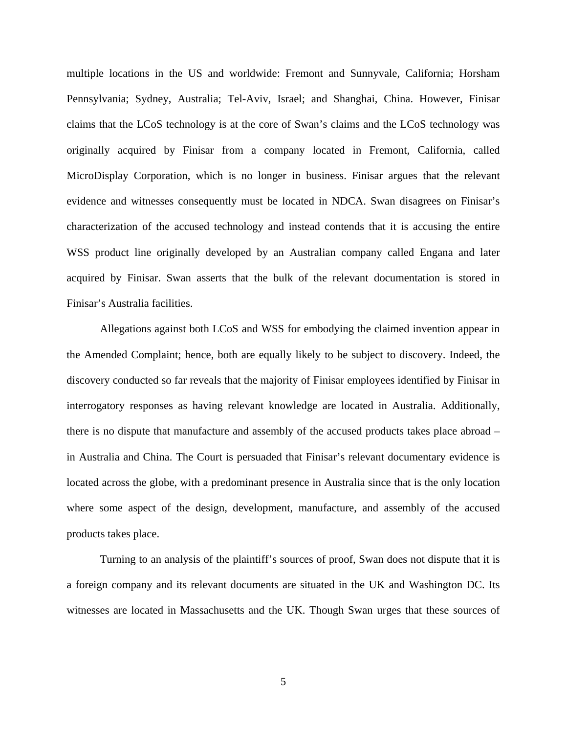multiple locations in the US and worldwide: Fremont and Sunnyvale, California; Horsham Pennsylvania; Sydney, Australia; Tel-Aviv, Israel; and Shanghai, China. However, Finisar claims that the LCoS technology is at the core of Swan's claims and the LCoS technology was originally acquired by Finisar from a company located in Fremont, California, called MicroDisplay Corporation, which is no longer in business. Finisar argues that the relevant evidence and witnesses consequently must be located in NDCA. Swan disagrees on Finisar's characterization of the accused technology and instead contends that it is accusing the entire WSS product line originally developed by an Australian company called Engana and later acquired by Finisar. Swan asserts that the bulk of the relevant documentation is stored in Finisar's Australia facilities.

Allegations against both LCoS and WSS for embodying the claimed invention appear in the Amended Complaint; hence, both are equally likely to be subject to discovery. Indeed, the discovery conducted so far reveals that the majority of Finisar employees identified by Finisar in interrogatory responses as having relevant knowledge are located in Australia. Additionally, there is no dispute that manufacture and assembly of the accused products takes place abroad – in Australia and China. The Court is persuaded that Finisar's relevant documentary evidence is located across the globe, with a predominant presence in Australia since that is the only location where some aspect of the design, development, manufacture, and assembly of the accused products takes place.

Turning to an analysis of the plaintiff's sources of proof, Swan does not dispute that it is a foreign company and its relevant documents are situated in the UK and Washington DC. Its witnesses are located in Massachusetts and the UK. Though Swan urges that these sources of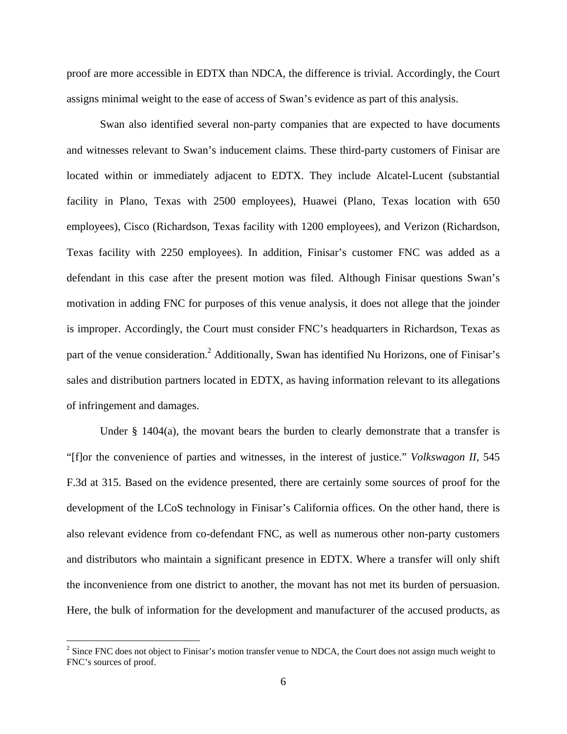proof are more accessible in EDTX than NDCA, the difference is trivial. Accordingly, the Court assigns minimal weight to the ease of access of Swan's evidence as part of this analysis.

 Swan also identified several non-party companies that are expected to have documents and witnesses relevant to Swan's inducement claims. These third-party customers of Finisar are located within or immediately adjacent to EDTX. They include Alcatel-Lucent (substantial facility in Plano, Texas with 2500 employees), Huawei (Plano, Texas location with 650 employees), Cisco (Richardson, Texas facility with 1200 employees), and Verizon (Richardson, Texas facility with 2250 employees). In addition, Finisar's customer FNC was added as a defendant in this case after the present motion was filed. Although Finisar questions Swan's motivation in adding FNC for purposes of this venue analysis, it does not allege that the joinder is improper. Accordingly, the Court must consider FNC's headquarters in Richardson, Texas as part of the venue consideration.<sup>2</sup> Additionally, Swan has identified Nu Horizons, one of Finisar's sales and distribution partners located in EDTX, as having information relevant to its allegations of infringement and damages.

Under  $\S$  1404(a), the movant bears the burden to clearly demonstrate that a transfer is "[f]or the convenience of parties and witnesses, in the interest of justice." *Volkswagon II*, 545 F.3d at 315. Based on the evidence presented, there are certainly some sources of proof for the development of the LCoS technology in Finisar's California offices. On the other hand, there is also relevant evidence from co-defendant FNC, as well as numerous other non-party customers and distributors who maintain a significant presence in EDTX. Where a transfer will only shift the inconvenience from one district to another, the movant has not met its burden of persuasion. Here, the bulk of information for the development and manufacturer of the accused products, as

1

 $2^2$  Since FNC does not object to Finisar's motion transfer venue to NDCA, the Court does not assign much weight to FNC's sources of proof.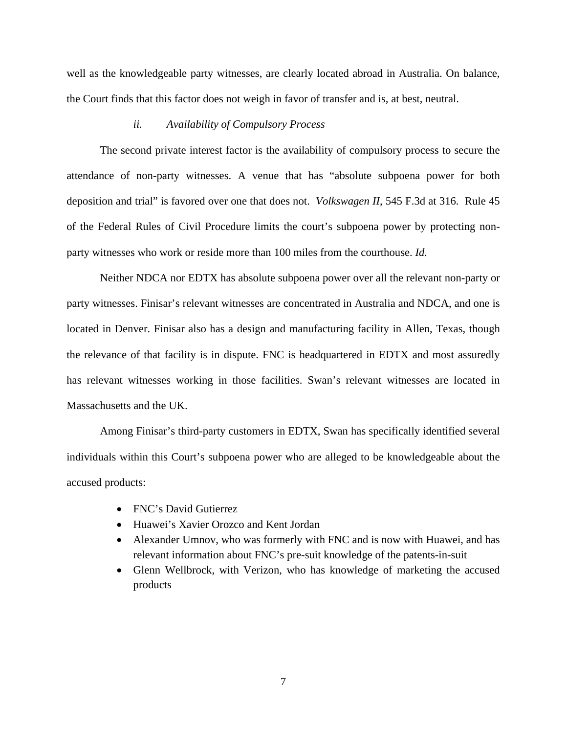well as the knowledgeable party witnesses, are clearly located abroad in Australia. On balance, the Court finds that this factor does not weigh in favor of transfer and is, at best, neutral.

#### *ii. Availability of Compulsory Process*

 The second private interest factor is the availability of compulsory process to secure the attendance of non-party witnesses. A venue that has "absolute subpoena power for both deposition and trial" is favored over one that does not. *Volkswagen II*, 545 F.3d at 316. Rule 45 of the Federal Rules of Civil Procedure limits the court's subpoena power by protecting nonparty witnesses who work or reside more than 100 miles from the courthouse. *Id.*

 Neither NDCA nor EDTX has absolute subpoena power over all the relevant non-party or party witnesses. Finisar's relevant witnesses are concentrated in Australia and NDCA, and one is located in Denver. Finisar also has a design and manufacturing facility in Allen, Texas, though the relevance of that facility is in dispute. FNC is headquartered in EDTX and most assuredly has relevant witnesses working in those facilities. Swan's relevant witnesses are located in Massachusetts and the UK.

 Among Finisar's third-party customers in EDTX, Swan has specifically identified several individuals within this Court's subpoena power who are alleged to be knowledgeable about the accused products:

- FNC's David Gutierrez
- Huawei's Xavier Orozco and Kent Jordan
- Alexander Umnov, who was formerly with FNC and is now with Huawei, and has relevant information about FNC's pre-suit knowledge of the patents-in-suit
- Glenn Wellbrock, with Verizon, who has knowledge of marketing the accused products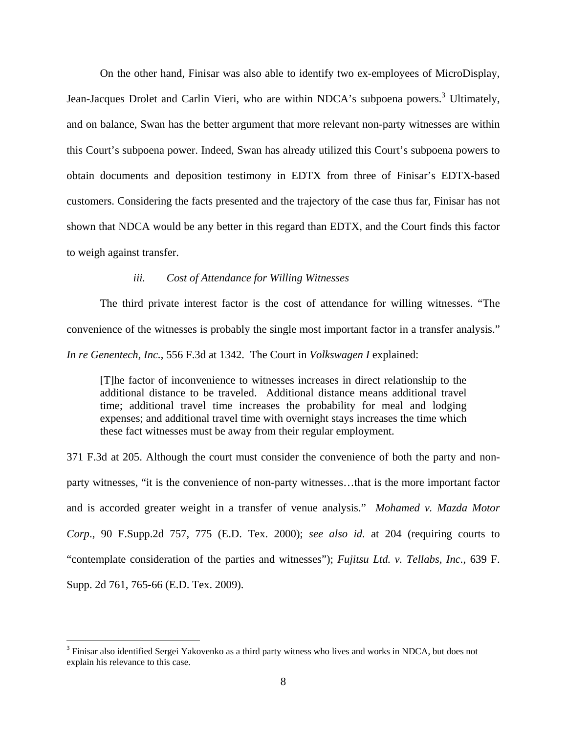On the other hand, Finisar was also able to identify two ex-employees of MicroDisplay, Jean-Jacques Drolet and Carlin Vieri, who are within NDCA's subpoena powers.<sup>3</sup> Ultimately, and on balance, Swan has the better argument that more relevant non-party witnesses are within this Court's subpoena power. Indeed, Swan has already utilized this Court's subpoena powers to obtain documents and deposition testimony in EDTX from three of Finisar's EDTX-based customers. Considering the facts presented and the trajectory of the case thus far, Finisar has not shown that NDCA would be any better in this regard than EDTX, and the Court finds this factor to weigh against transfer.

## *iii. Cost of Attendance for Willing Witnesses*

 The third private interest factor is the cost of attendance for willing witnesses. "The convenience of the witnesses is probably the single most important factor in a transfer analysis." *In re Genentech, Inc.*, 556 F.3d at 1342. The Court in *Volkswagen I* explained:

[T]he factor of inconvenience to witnesses increases in direct relationship to the additional distance to be traveled. Additional distance means additional travel time; additional travel time increases the probability for meal and lodging expenses; and additional travel time with overnight stays increases the time which these fact witnesses must be away from their regular employment.

371 F.3d at 205. Although the court must consider the convenience of both the party and nonparty witnesses, "it is the convenience of non-party witnesses…that is the more important factor and is accorded greater weight in a transfer of venue analysis." *Mohamed v. Mazda Motor Corp*., 90 F.Supp.2d 757, 775 (E.D. Tex. 2000); *see also id.* at 204 (requiring courts to "contemplate consideration of the parties and witnesses"); *Fujitsu Ltd. v. Tellabs, Inc.*, 639 F. Supp. 2d 761, 765-66 (E.D. Tex. 2009).

 $\overline{a}$ 

<sup>&</sup>lt;sup>3</sup> Finisar also identified Sergei Yakovenko as a third party witness who lives and works in NDCA, but does not explain his relevance to this case.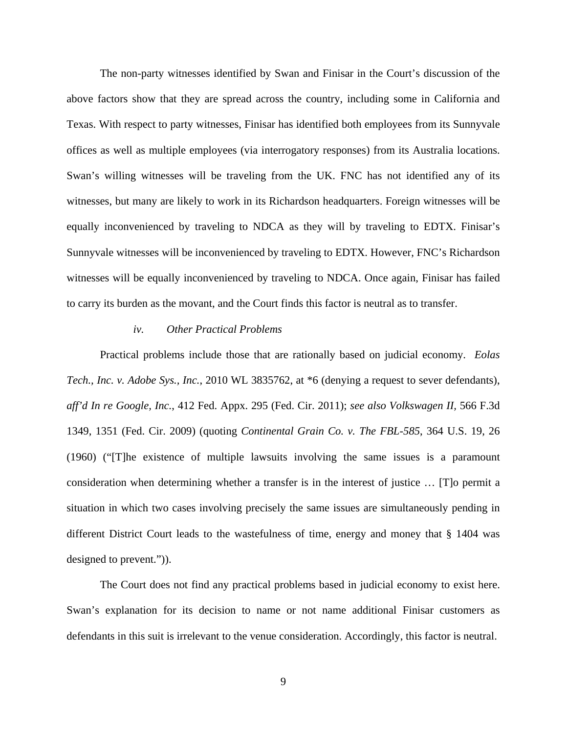The non-party witnesses identified by Swan and Finisar in the Court's discussion of the above factors show that they are spread across the country, including some in California and Texas. With respect to party witnesses, Finisar has identified both employees from its Sunnyvale offices as well as multiple employees (via interrogatory responses) from its Australia locations. Swan's willing witnesses will be traveling from the UK. FNC has not identified any of its witnesses, but many are likely to work in its Richardson headquarters. Foreign witnesses will be equally inconvenienced by traveling to NDCA as they will by traveling to EDTX. Finisar's Sunnyvale witnesses will be inconvenienced by traveling to EDTX. However, FNC's Richardson witnesses will be equally inconvenienced by traveling to NDCA. Once again, Finisar has failed to carry its burden as the movant, and the Court finds this factor is neutral as to transfer.

#### *iv. Other Practical Problems*

 Practical problems include those that are rationally based on judicial economy. *Eolas Tech., Inc. v. Adobe Sys., Inc.*, 2010 WL 3835762, at \*6 (denying a request to sever defendants), *aff'd In re Google, Inc.*, 412 Fed. Appx. 295 (Fed. Cir. 2011); *see also Volkswagen II,* 566 F.3d 1349, 1351 (Fed. Cir. 2009) (quoting *Continental Grain Co. v. The FBL-585*, 364 U.S. 19, 26 (1960) ("[T]he existence of multiple lawsuits involving the same issues is a paramount consideration when determining whether a transfer is in the interest of justice … [T]o permit a situation in which two cases involving precisely the same issues are simultaneously pending in different District Court leads to the wastefulness of time, energy and money that § 1404 was designed to prevent.")).

 The Court does not find any practical problems based in judicial economy to exist here. Swan's explanation for its decision to name or not name additional Finisar customers as defendants in this suit is irrelevant to the venue consideration. Accordingly, this factor is neutral.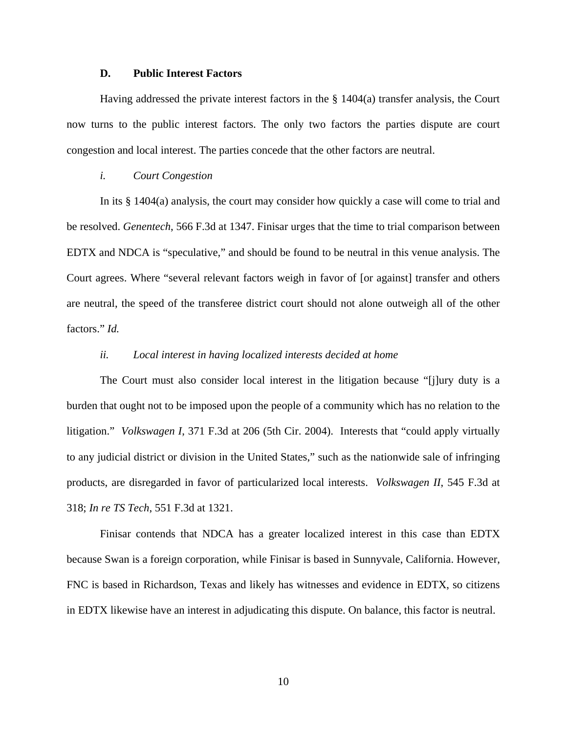#### **D. Public Interest Factors**

Having addressed the private interest factors in the § 1404(a) transfer analysis, the Court now turns to the public interest factors. The only two factors the parties dispute are court congestion and local interest. The parties concede that the other factors are neutral.

#### *i. Court Congestion*

In its § 1404(a) analysis, the court may consider how quickly a case will come to trial and be resolved. *Genentech*, 566 F.3d at 1347. Finisar urges that the time to trial comparison between EDTX and NDCA is "speculative," and should be found to be neutral in this venue analysis. The Court agrees. Where "several relevant factors weigh in favor of [or against] transfer and others are neutral, the speed of the transferee district court should not alone outweigh all of the other factors." *Id.*

### *ii. Local interest in having localized interests decided at home*

The Court must also consider local interest in the litigation because "[j]ury duty is a burden that ought not to be imposed upon the people of a community which has no relation to the litigation." *Volkswagen I*, 371 F.3d at 206 (5th Cir. 2004). Interests that "could apply virtually to any judicial district or division in the United States," such as the nationwide sale of infringing products, are disregarded in favor of particularized local interests. *Volkswagen II*, 545 F.3d at 318; *In re TS Tech*, 551 F.3d at 1321.

 Finisar contends that NDCA has a greater localized interest in this case than EDTX because Swan is a foreign corporation, while Finisar is based in Sunnyvale, California. However, FNC is based in Richardson, Texas and likely has witnesses and evidence in EDTX, so citizens in EDTX likewise have an interest in adjudicating this dispute. On balance, this factor is neutral.